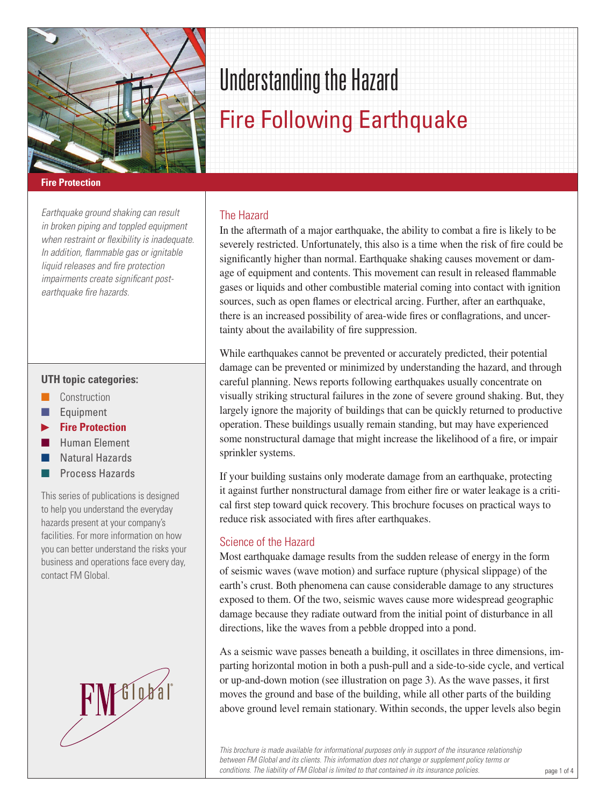

# Understanding the Hazard

## Fire Following Earthquake

## **Fire Protection**

*Earthquake ground shaking can result in broken piping and toppled equipment when restraint or flexibility is inadequate. In addition, flammable gas or ignitable liquid releases and fire protection impairments create significant postearthquake fire hazards.*

## **UTH topic categories:**

- **n** Construction
- $\blacksquare$  Equipment
- **Fire Protection**
- n Human Element
- Natural Hazards
- Process Hazards

This series of publications is designed to help you understand the everyday hazards present at your company's facilities. For more information on how you can better understand the risks your business and operations face every day, contact FM Global.



## The Hazard

In the aftermath of a major earthquake, the ability to combat a fire is likely to be severely restricted. Unfortunately, this also is a time when the risk of fire could be significantly higher than normal. Earthquake shaking causes movement or damage of equipment and contents. This movement can result in released flammable gases or liquids and other combustible material coming into contact with ignition sources, such as open flames or electrical arcing. Further, after an earthquake, there is an increased possibility of area-wide fires or conflagrations, and uncertainty about the availability of fire suppression.

While earthquakes cannot be prevented or accurately predicted, their potential damage can be prevented or minimized by understanding the hazard, and through careful planning. News reports following earthquakes usually concentrate on visually striking structural failures in the zone of severe ground shaking. But, they largely ignore the majority of buildings that can be quickly returned to productive operation. These buildings usually remain standing, but may have experienced some nonstructural damage that might increase the likelihood of a fire, or impair sprinkler systems.

If your building sustains only moderate damage from an earthquake, protecting it against further nonstructural damage from either fire or water leakage is a critical first step toward quick recovery. This brochure focuses on practical ways to reduce risk associated with fires after earthquakes.

## Science of the Hazard

Most earthquake damage results from the sudden release of energy in the form of seismic waves (wave motion) and surface rupture (physical slippage) of the earth's crust. Both phenomena can cause considerable damage to any structures exposed to them. Of the two, seismic waves cause more widespread geographic damage because they radiate outward from the initial point of disturbance in all directions, like the waves from a pebble dropped into a pond.

As a seismic wave passes beneath a building, it oscillates in three dimensions, imparting horizontal motion in both a push-pull and a side-to-side cycle, and vertical or up-and-down motion (see illustration on page 3). As the wave passes, it first moves the ground and base of the building, while all other parts of the building above ground level remain stationary. Within seconds, the upper levels also begin

*This brochure is made available for informational purposes only in support of the insurance relationship between FM Global and its clients. This information does not change or supplement policy terms or conditions. The liability of FM Global is limited to that contained in its insurance policies.*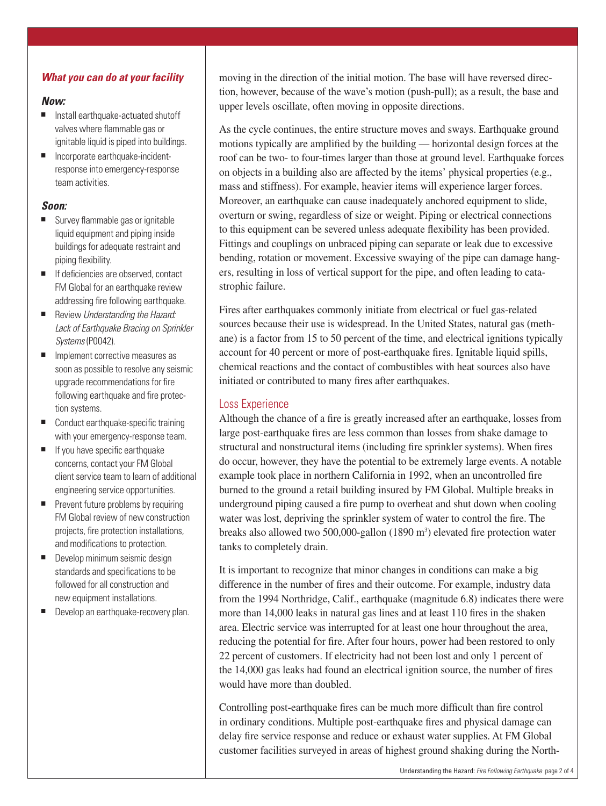## *What you can do at your facility*

## *Now:*

- $\blacksquare$  Install earthquake-actuated shutoff valves where flammable gas or ignitable liquid is piped into buildings.
- Incorporate earthquake-incidentresponse into emergency-response team activities.

## *Soon:*

- $\blacksquare$  Survey flammable gas or ignitable liquid equipment and piping inside buildings for adequate restraint and piping flexibility.
- If deficiencies are observed, contact FM Global for an earthquake review addressing fire following earthquake.
- Review *Understanding the Hazard: Lack of Earthquake Bracing on Sprinkler Systems* (P0042).
- $\blacksquare$  Implement corrective measures as soon as possible to resolve any seismic upgrade recommendations for fire following earthquake and fire protection systems.
- Conduct earthquake-specific training with your emergency-response team.
- $\blacksquare$  If you have specific earthquake concerns, contact your FM Global client service team to learn of additional engineering service opportunities.
- $\blacksquare$  Prevent future problems by requiring FM Global review of new construction projects, fire protection installations, and modifications to protection.
- $\blacksquare$  Develop minimum seismic design standards and specifications to be followed for all construction and new equipment installations.
- Develop an earthquake-recovery plan.

moving in the direction of the initial motion. The base will have reversed direction, however, because of the wave's motion (push-pull); as a result, the base and upper levels oscillate, often moving in opposite directions.

As the cycle continues, the entire structure moves and sways. Earthquake ground motions typically are amplified by the building — horizontal design forces at the roof can be two- to four-times larger than those at ground level. Earthquake forces on objects in a building also are affected by the items' physical properties (e.g., mass and stiffness). For example, heavier items will experience larger forces. Moreover, an earthquake can cause inadequately anchored equipment to slide, overturn or swing, regardless of size or weight. Piping or electrical connections to this equipment can be severed unless adequate flexibility has been provided. Fittings and couplings on unbraced piping can separate or leak due to excessive bending, rotation or movement. Excessive swaying of the pipe can damage hangers, resulting in loss of vertical support for the pipe, and often leading to catastrophic failure.

Fires after earthquakes commonly initiate from electrical or fuel gas-related sources because their use is widespread. In the United States, natural gas (methane) is a factor from 15 to 50 percent of the time, and electrical ignitions typically account for 40 percent or more of post-earthquake fires. Ignitable liquid spills, chemical reactions and the contact of combustibles with heat sources also have initiated or contributed to many fires after earthquakes.

## Loss Experience

Although the chance of a fire is greatly increased after an earthquake, losses from large post-earthquake fires are less common than losses from shake damage to structural and nonstructural items (including fire sprinkler systems). When fires do occur, however, they have the potential to be extremely large events. A notable example took place in northern California in 1992, when an uncontrolled fire burned to the ground a retail building insured by FM Global. Multiple breaks in underground piping caused a fire pump to overheat and shut down when cooling water was lost, depriving the sprinkler system of water to control the fire. The breaks also allowed two  $500,000$ -gallon  $(1890 \text{ m}^3)$  elevated fire protection water tanks to completely drain.

It is important to recognize that minor changes in conditions can make a big difference in the number of fires and their outcome. For example, industry data from the 1994 Northridge, Calif., earthquake (magnitude 6.8) indicates there were more than 14,000 leaks in natural gas lines and at least 110 fires in the shaken area. Electric service was interrupted for at least one hour throughout the area, reducing the potential for fire. After four hours, power had been restored to only 22 percent of customers. If electricity had not been lost and only 1 percent of the 14,000 gas leaks had found an electrical ignition source, the number of fires would have more than doubled.

Controlling post-earthquake fires can be much more difficult than fire control in ordinary conditions. Multiple post-earthquake fires and physical damage can delay fire service response and reduce or exhaust water supplies. At FM Global customer facilities surveyed in areas of highest ground shaking during the North-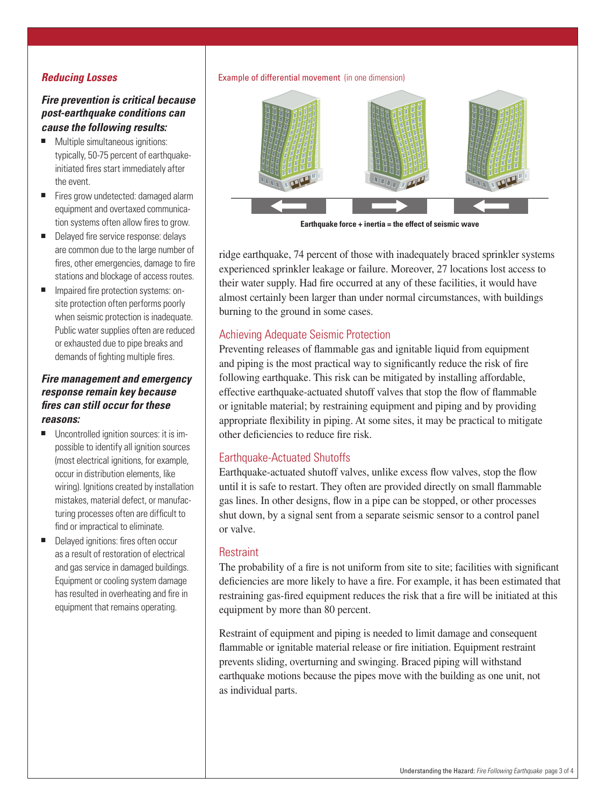## *Reducing Losses*

## *Fire prevention is critical because post-earthquake conditions can cause the following results:*

- Multiple simultaneous ignitions: typically, 50-75 percent of earthquakeinitiated fires start immediately after the event.
- Fires grow undetected: damaged alarm equipment and overtaxed communication systems often allow fires to grow.
- Delayed fire service response: delays are common due to the large number of fires, other emergencies, damage to fire stations and blockage of access routes.
- Impaired fire protection systems: onsite protection often performs poorly when seismic protection is inadequate. Public water supplies often are reduced or exhausted due to pipe breaks and demands of fighting multiple fires.

## *Fire management and emergency response remain key because fires can still occur for these reasons:*

- $\blacksquare$  Uncontrolled ignition sources: it is impossible to identify all ignition sources (most electrical ignitions, for example, occur in distribution elements, like wiring). Ignitions created by installation mistakes, material defect, or manufacturing processes often are difficult to find or impractical to eliminate.
- Delayed ignitions: fires often occur as a result of restoration of electrical and gas service in damaged buildings. Equipment or cooling system damage has resulted in overheating and fire in equipment that remains operating.

#### Example of differential movement (in one dimension)



**Earthquake force + inertia = the effect of seismic wave**

ridge earthquake, 74 percent of those with inadequately braced sprinkler systems experienced sprinkler leakage or failure. Moreover, 27 locations lost access to their water supply. Had fire occurred at any of these facilities, it would have almost certainly been larger than under normal circumstances, with buildings burning to the ground in some cases.

## Achieving Adequate Seismic Protection

Preventing releases of flammable gas and ignitable liquid from equipment and piping is the most practical way to significantly reduce the risk of fire following earthquake. This risk can be mitigated by installing affordable, effective earthquake-actuated shutoff valves that stop the flow of flammable or ignitable material; by restraining equipment and piping and by providing appropriate flexibility in piping. At some sites, it may be practical to mitigate other deficiencies to reduce fire risk.

## Earthquake-Actuated Shutoffs

Earthquake-actuated shutoff valves, unlike excess flow valves, stop the flow until it is safe to restart. They often are provided directly on small flammable gas lines. In other designs, flow in a pipe can be stopped, or other processes shut down, by a signal sent from a separate seismic sensor to a control panel or valve.

## **Restraint**

The probability of a fire is not uniform from site to site; facilities with significant deficiencies are more likely to have a fire. For example, it has been estimated that restraining gas-fired equipment reduces the risk that a fire will be initiated at this equipment by more than 80 percent.

Restraint of equipment and piping is needed to limit damage and consequent flammable or ignitable material release or fire initiation. Equipment restraint prevents sliding, overturning and swinging. Braced piping will withstand earthquake motions because the pipes move with the building as one unit, not as individual parts.